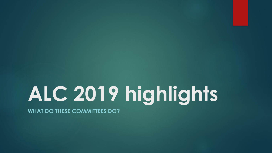# **ALC 2019 highlights**

**WHAT DO THESE COMMITTEES DO?**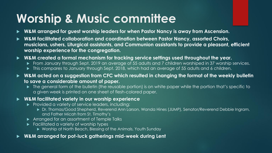# **Worship & Music committee**

- **W&M arranged for guest worship leaders for when Pastor Nancy is away from Ascension.**
- **W&M facilitated collaboration and coordination between Pastor Nancy, assorted Choirs, musicians, ushers, Liturgical assistants, and Communion assistants to provide a pleasant, efficient worship experience for the congregation.**
- **W&M created a formal mechanism for tracking service settings used throughout the year.**
	- From January through Sept. 2019 an average of 55 adults and 7 children worshiped in 37 worship services.
	- $\blacktriangleright$  This compares to January through Sept. 2018, which had an average of 55 adults and 6 children.
- **W&M acted on a suggestion from CFC which resulted in changing the format of the weekly bulletin to save a considerable amount of paper.** 
	- $\blacktriangleright$  The general form of the bulletin (the reusable portion) is on white paper while the portion that's specific to a given week is printed on one sheet of flesh-colored paper.

#### **W&M facilitated variety in our worship experience**

- Provided a variety of service leaders, including:
	- Dr. Thomas/Good Shepherd, Reverend Ann Larson, Wanda Hines (JUMP), Senator/Reverend Debbie Ingram, and Father Micah from St. Timothy's
- **Arranged for an assortment of Temple Talks**
- **Facilitated a variety of worship types** 
	- ▶ Worship at North Beach, Blessing of the Animals, Youth Sunday
- **W&M arranged for pot-luck gatherings mid-week during Lent**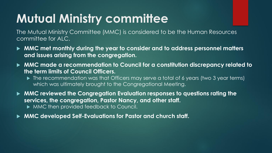# **Mutual Ministry committee**

The Mutual Ministry Committee (MMC) is considered to be the Human Resources committee for ALC.

- **MMC met monthly during the year to consider and to address personnel matters and issues arising from the congregation.**
- **MMC made a recommendation to Council for a constitution discrepancy related to the term limits of Council Officers.** 
	- The recommendation was that Officers may serve a total of 6 years (two 3 year terms) which was ultimately brought to the Congregational Meeting.

 **MMC reviewed the Congregation Evaluation responses to questions rating the services, the congregation, Pastor Nancy, and other staff.** 

 $\triangleright$  MMC then provided feedback to Council.

**MMC developed Self-Evaluations for Pastor and church staff.**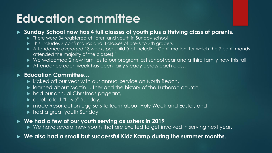# **Education committee**

#### **Sunday School now has 4 full classes of youth plus a thriving class of parents.**

- ▶ There were 34 registered children and youth in Sunday school
- $\blacktriangleright$  This includes 7 confirmands and 3 classes of pre-K to 7th graders
- Attendance averaged 13 weeks per child (not including Confirmation, for which the 7 confirmands attended the majority of the classes)."
- ▶ We welcomed 2 new families to our program last school year and a third family new this fall.
- Attendance each week has been fairly steady across each class.

#### **Education Committee…**

- $\blacktriangleright$  kicked off our year with our annual service on North Beach,
- learned about Martin Luther and the history of the Lutheran church,
- $\blacktriangleright$  had our annual Christmas pageant,
- ▶ celebrated "Love" Sunday,
- made Resurrection egg sets to learn about Holy Week and Easter, and
- $\blacktriangleright$  had a great youth Sunday!

#### **We had a few of our youth serving as ushers in 2019**

▶ We have several new youth that are excited to get involved in serving next year.

**We also had a small but successful Kidz Kamp during the summer months.**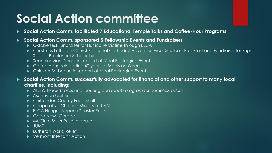# **Social Action committee**

**Social Action Comm. facilitated 7 Educational Temple Talks and Coffee-Hour Programs**

#### **Social Action Comm. sponsored 5 Fellowship Events and Fundraisers**

- Oktoberfest Fundraiser for Hurricane Victims through ELCA
- Christmas Lutheran Church/National Cathedral Advent Service Simulcast Breakfast and Fundraiser for Bright Stars of Bethlehem Scholarships
- Scandinavian Dinner in support of Meal Packaging Event
- $\triangleright$  Coffee Hour celebrating 40 years of Meals on Wheels
- ▶ Chicken Barbecue in support of Meal Packaging Event

▶ Social Action Comm. successfully advocated for financial and other support to many local **charities, including:** 

- ANEW Place (*transitional housing and rehab program for homeless adults*)
- Ascension Quilters
- ▶ Chittenden County Food Shelf
- ▶ Cooperative Christian Ministry at UVM
- ELCA Hunger Appeal/Disaster Relief
- Good News Garage
- $\blacktriangleright$  McClure Miller Respite House
- $\blacktriangleright$  JUMP
- **Lutheran World Relief**
- ▶ Vermont Interfaith Action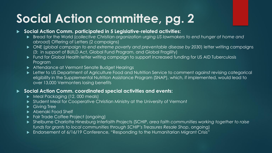# **Social Action committee, pg. 2**

#### **Social Action Comm. participated in 5 Legislative-related activities:**

- ▶ Bread for the World (*collective Christian organization urging US lawmakers to end hunger at home and abroad*) Offering of Letters (2 campaigns)
- ONE (*global campaign to end extreme poverty and preventable disease by 2030*) letter writing campaigns (3: in support of BUILD Act, Global Fund Program, and Global Fragility)
- Fund for Global Health letter writing campaign to support increased funding for US AID Tuberculosis Program
- ▶ Attendance at Vermont Senate Budget Hearings
- **Letter to US Department of Agriculture Food and Nutrition Service to comment against revising categorical** eligibility in the Supplemental Nutrition Assistance Program (SNAP), which, if implemented, would lead to over 13,000 Vermonters losing benefits

#### **Social Action Comm. coordinated special activities and events:**

- Meal Packaging (12, 000 meals)
- Student Meal for Cooperative Christian Ministry at the University of Vermont
- Giving Tree
- Abenaki Food Shelf
- **Fair Trade Coffee Project (ongoing)**
- Shelburne Charlotte Hinesburg Interfaith Projects (SCHIP, *area faith communities working together to raise funds for grants to local communities through SCHIP's Treasures Resale Shop*, ongoing)
- Endorsement of 6/16/19 Conference, "Responding to the Humanitarian Migrant Crisis"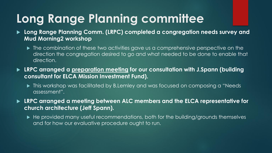# **Long Range Planning committee**

- **Long Range Planning Comm. (LRPC) completed a congregation needs survey and Mud Morning2 workshop**
	- $\blacktriangleright$  The combination of these two activities gave us a comprehensive perspective on the direction the congregation desired to go and what needed to be done to enable that direction.
- **LRPC arranged a preparation meeting for our consultation with J.Spann (building consultant for ELCA Mission Investment Fund).**
	- $\blacktriangleright$  This workshop was facilitated by B.Lemley and was focused on composing a "Needs" assessment".

 **LRPC arranged a meeting between ALC members and the ELCA representative for church architecture (Jeff Spann).**

► He provided many useful recommendations, both for the building/grounds themselves and for how our evaluative procedure ought to run.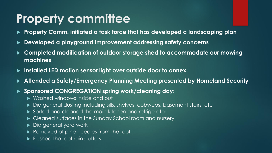### **Property committee**

- **Property Comm. initiated a task force that has developed a landscaping plan**
- **Developed a playground improvement addressing safety concerns**
- **Completed modification of outdoor storage shed to accommodate our mowing machines**
- **Installed LED motion sensor light over outside door to annex**
- **Attended a Safety/Emergency Planning Meeting presented by Homeland Security**
- **Sponsored CONGREGATION spring work/cleaning day:**
	- Washed windows inside and out
	- ▶ Did general dusting including sills, shelves, cobwebs, basement stairs, etc
	- ▶ Sorted and cleaned the main kitchen and refrigerator
	- $\blacktriangleright$  Cleaned surfaces in the Sunday School room and nursery,
	- Did general yard work
	- Removed of pine needles from the roof
	- **Fi** Flushed the roof rain gutters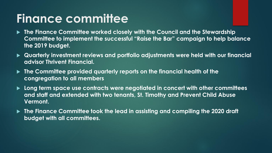## **Finance committee**

- **The Finance Committee worked closely with the Council and the Stewardship Committee to implement the successful "Raise the Bar" campaign to help balance the 2019 budget.**
- **Quarterly investment reviews and portfolio adjustments were held with our financial advisor Thrivent Financial.**
- **The Committee provided quarterly reports on the financial health of the congregation to all members**
- **Long term space use contracts were negotiated in concert with other committees and staff and extended with two tenants, St. Timothy and Prevent Child Abuse Vermont.**
- **The Finance Committee took the lead in assisting and compiling the 2020 draft budget with all committees.**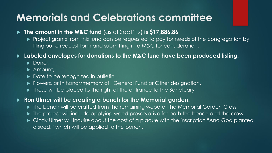### **Memorials and Celebrations committee**

- **The amount in the M&C fund** (as of Sept'19) **is \$17,886.86**
	- Project grants from this fund can be requested to pay for needs of the congregation by filing out a request form and submitting it to M&C for consideration.

#### **Labeled envelopes for donations to the M&C fund have been produced listing:**

- Donor,
- ▶ Amount,
- $\triangleright$  Date to be recognized in bulletin,
- ▶ Flowers, or In honor/memory of: General Fund or Other designation.
- $\blacktriangleright$  These will be placed to the right of the entrance to the Sanctuary

#### **Ron Ulmer will be creating a bench for the Memorial garden.**

- ▶ The bench will be crafted from the remaining wood of the Memorial Garden Cross
- $\blacktriangleright$  The project will include applying wood preservative for both the bench and the cross.
- Cindy Ulmer will inquire about the cost of a plaque with the inscription "And God planted a seed," which will be applied to the bench.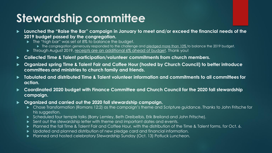### **Stewardship committee**

- **Launched the "Raise the Bar" campaign in January to meet and/or exceed the financial needs of the 2019 budget passed by the congregation.**
	- ▶ The "high bar" was set at 8% to balance the budget.
		- The congregation generously responded to the challenge and pledged more than 10% to balance the 2019 budget.
	- Through August 2019, receipts are an additional 6% ahead of budget. Thank you!
- **Collected Time & Talent participation/volunteer commitments from church members.**
- **Organized spring Time & Talent Fair and Coffee Hour (hosted by Church Council) to better introduce committees and ministries to church family and friends.**
- **Tabulated and distributed Time & Talent volunteer information and commitments to all committees for action.**
- ► Coordinated 2020 budget with Finance Committee and Church Council for the 2020 fall stewardship **campaign.**
- **Organized and carried out the 2020 fall stewardship campaign.**
	- Chose Transformation (Romans 12:2) as the campaign's theme and Scripture guidance. Thanks to John Fritsche for his suggestion.
	- Scheduled four temple talks (Barry Lemley, Beth Dreibelbis, Erik Breiland and John Fritsche).
	- Sent out the stewardship letter with theme and important dates and events.
	- Planned the fall Time & Talent Fair and Coffee Hour, with the distribution of the Time & Talent forms, for Oct. 6.
	- Updated and planned distribution of new pledge card and financial information.
	- Planned and hosted celebratory Stewardship Sunday (Oct. 13) Potluck Luncheon.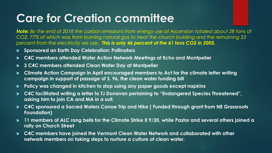## **Care for Creation committee**

*Note: By the end of 2018 the carbon emissions from energy use at Ascension totaled about 28 tons of CO2, 77% of which was from burning natural gas to heat the church building and the remaining 23 percent from the electricity we use. This is only 46 percent of the 61 tons CO2 in 2005.* 

- **Sponsored an Earth Day Celebration: Pollinators**
- **C4C members attended Water Action Network Meetings at Echo and Montpelier**
- **3 C4C members attended Clean Water Day at Montpelier**
- **Climate Action Campaign in April encouraged members to Act for the climate letter writing campaign in support of passage of S. 96, the clean water funding bill**
- **Policy was changed in kitchen to stop using any paper goods except napkins**
- **C4C facilitated writing a letter to TJ Donavan pertaining to "Endangered Species Threatened", asking him to join CA and MA in a suit.**
- ▶ C4C sponsored a Sacred Waters Canoe Trip and Hike ( Funded through grant from NE Grassroots **Foundation)**
- **11 members of ALC rang bells for the Climate Strike 0 9/20, while Pastor and several others joined a rally on Church Street**
- **C4C members have joined the Vermont Clean Water Network and collaborated with other network members on taking steps to nurture a culture of clean water.**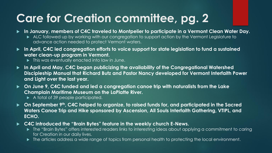# **Care for Creation committee, pg. 2**

- **In January, members of C4C traveled to Montpelier to participate in a Vermont Clean Water Day.** 
	- ALC followed up by working with our congregation to support action by the Vermont Legislature to advance action needed to protect Vermont waters.
- **In April, C4C led congregation efforts to voice support for state legislation to fund a sustained water clean-up program in Vermont.**
	- $\blacktriangleright$  This was eventually enacted into law in June.
- **In April and May, C4C began publicizing the availability of the Congregational Watershed Discipleship Manual that Richard Butz and Pastor Nancy developed for Vermont Interfaith Power and Light over the last year.**
- **On June 9, C4C funded and led a congregation canoe trip with naturalists from the Lake Champlain Maritime Museum on the LaPlatte River.**
	- A total of 39 people participated.
- **On September 9th, C4C helped to organize, to raised funds for, and participated in the Sacred Waters Canoe Trip and Hike sponsored by Ascension, All Souls Interfaith Gathering, VTIPL, and ECHO.**
- **C4C introduced the "Brain Bytes" feature in the weekly church E-News.** 
	- ▶ The "Brain Bytes" offers interested readers links to interesting ideas about applying a commitment to caring for Creation in our daily lives.
	- $\blacktriangleright$  The articles address a wide range of topics from personal health to protecting the local environment.